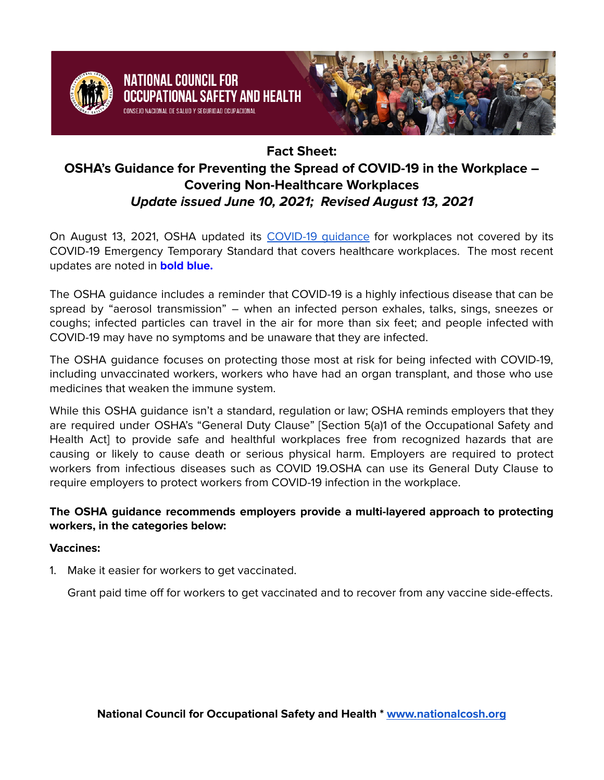

NATIONAL COUNCIL FOR

# **Fact Sheet:**

# **OSHA's Guidance for Preventing the Spread of COVID-19 in the Workplace – Covering Non-Healthcare Workplaces Update issued June 10, 2021; Revised August 13, 2021**

On August 13, 2021, OSHA updated its [COVID-19](https://www.osha.gov/coronavirus/safework) quidance for workplaces not covered by its COVID-19 Emergency Temporary Standard that covers healthcare workplaces. The most recent updates are noted in **bold blue.**

The OSHA guidance includes a reminder that COVID-19 is a highly infectious disease that can be spread by "aerosol transmission" – when an infected person exhales, talks, sings, sneezes or coughs; infected particles can travel in the air for more than six feet; and people infected with COVID-19 may have no symptoms and be unaware that they are infected.

The OSHA guidance focuses on protecting those most at risk for being infected with COVID-19, including unvaccinated workers, workers who have had an organ transplant, and those who use medicines that weaken the immune system.

While this OSHA guidance isn't a standard, regulation or law; OSHA reminds employers that they are required under OSHA's "General Duty Clause" [Section 5(a)1 of the Occupational Safety and Health Act] to provide safe and healthful workplaces free from recognized hazards that are causing or likely to cause death or serious physical harm. Employers are required to protect workers from infectious diseases such as COVID 19.OSHA can use its General Duty Clause to require employers to protect workers from COVID-19 infection in the workplace.

# **The OSHA guidance recommends employers provide a multi-layered approach to protecting workers, in the categories below:**

## **Vaccines:**

1. Make it easier for workers to get vaccinated.

Grant paid time off for workers to get vaccinated and to recover from any vaccine side-effects.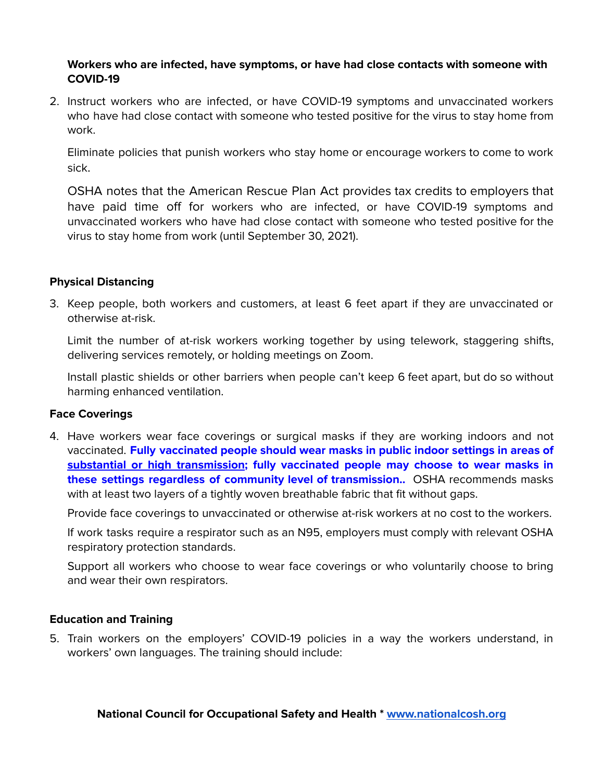#### **Workers who are infected, have symptoms, or have had close contacts with someone with COVID-19**

2. Instruct workers who are infected, or have COVID-19 symptoms and unvaccinated workers who have had close contact with someone who tested positive for the virus to stay home from work.

Eliminate policies that punish workers who stay home or encourage workers to come to work sick.

OSHA notes that the American Rescue Plan Act provides tax credits to employers that have paid time off for workers who are infected, or have COVID-19 symptoms and unvaccinated workers who have had close contact with someone who tested positive for the virus to stay home from work (until September 30, 2021).

#### **Physical Distancing**

3. Keep people, both workers and customers, at least 6 feet apart if they are unvaccinated or otherwise at-risk.

Limit the number of at-risk workers working together by using telework, staggering shifts, delivering services remotely, or holding meetings on Zoom.

Install plastic shields or other barriers when people can't keep 6 feet apart, but do so without harming enhanced ventilation.

#### **Face Coverings**

4. Have workers wear face coverings or surgical masks if they are working indoors and not vaccinated. **Fully vaccinated people should wear masks in public indoor settings in areas o[f](https://covid.cdc.gov/covid-data-tracker/#county-view) substantial or high [transmission](https://covid.cdc.gov/covid-data-tracker/#county-view); fully vaccinated people may choose to wear masks in these settings regardless of community level of transmission..** OSHA recommends masks with at least two layers of a tightly woven breathable fabric that fit without gaps.

Provide face coverings to unvaccinated or otherwise at-risk workers at no cost to the workers.

If work tasks require a respirator such as an N95, employers must comply with relevant OSHA respiratory protection standards.

Support all workers who choose to wear face coverings or who voluntarily choose to bring and wear their own respirators.

#### **Education and Training**

5. Train workers on the employers' COVID-19 policies in a way the workers understand, in workers' own languages. The training should include: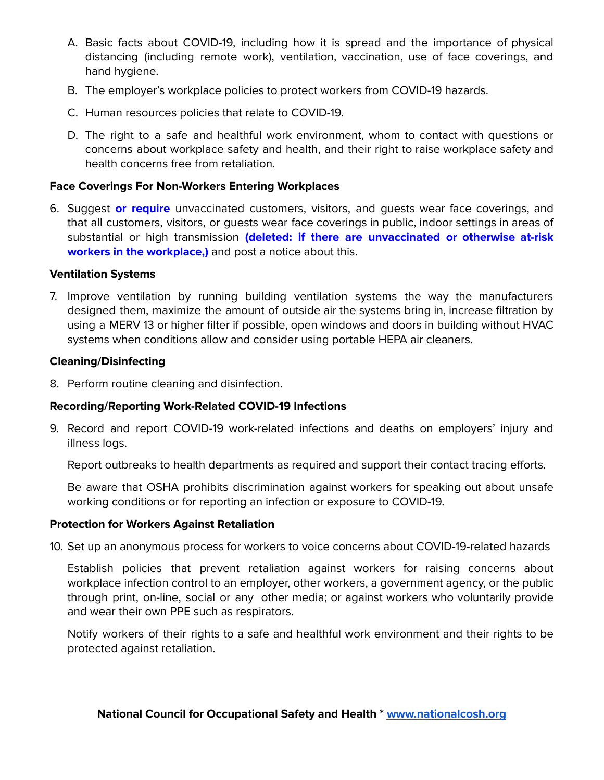- A. Basic facts about COVID-19, including how it is spread and the importance of physical distancing (including remote work), ventilation, vaccination, use of face coverings, and hand hygiene.
- B. The employer's workplace policies to protect workers from COVID-19 hazards.
- C. Human resources policies that relate to COVID-19.
- D. The right to a safe and healthful work environment, whom to contact with questions or concerns about workplace safety and health, and their right to raise workplace safety and health concerns free from retaliation.

#### **Face Coverings For Non-Workers Entering Workplaces**

6. Suggest **or require** unvaccinated customers, visitors, and guests wear face coverings, and that all customers, visitors, or guests wear face coverings in public, indoor settings in areas of substantial or high transmission **(deleted: if there are unvaccinated or otherwise at-risk workers in the workplace,)** and post a notice about this.

#### **Ventilation Systems**

7. Improve ventilation by running building ventilation systems the way the manufacturers designed them, maximize the amount of outside air the systems bring in, increase filtration by using a MERV 13 or higher filter if possible, open windows and doors in building without HVAC systems when conditions allow and consider using portable HEPA air cleaners.

#### **Cleaning/Disinfecting**

8. Perform routine cleaning and disinfection.

#### **Recording/Reporting Work-Related COVID-19 Infections**

9. Record and report COVID-19 work-related infections and deaths on employers' injury and illness logs.

Report outbreaks to health departments as required and support their contact tracing efforts.

Be aware that OSHA prohibits discrimination against workers for speaking out about unsafe working conditions or for reporting an infection or exposure to COVID-19.

#### **Protection for Workers Against Retaliation**

10. Set up an anonymous process for workers to voice concerns about COVID-19-related hazards

Establish policies that prevent retaliation against workers for raising concerns about workplace infection control to an employer, other workers, a government agency, or the public through print, on-line, social or any other media; or against workers who voluntarily provide and wear their own PPE such as respirators.

Notify workers of their rights to a safe and healthful work environment and their rights to be protected against retaliation.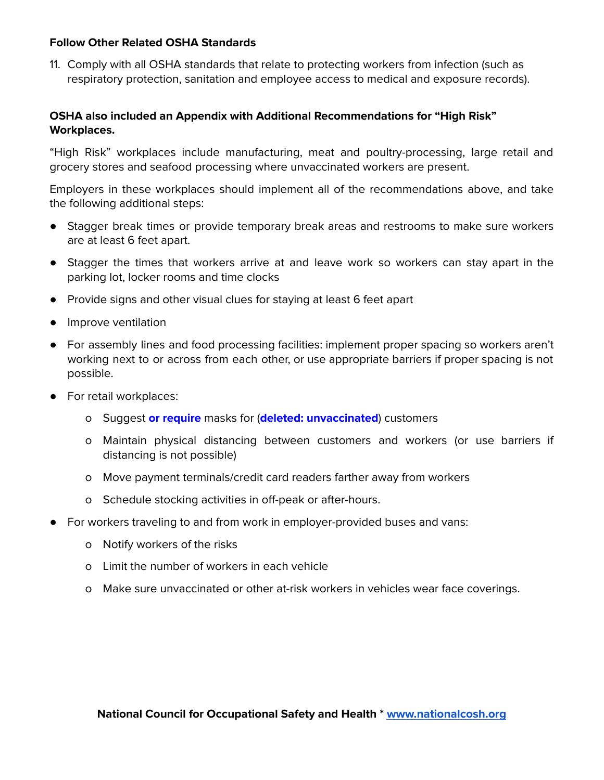#### **Follow Other Related OSHA Standards**

11. Comply with all OSHA standards that relate to protecting workers from infection (such as respiratory protection, sanitation and employee access to medical and exposure records).

## **OSHA also included an Appendix with Additional Recommendations for "High Risk" Workplaces.**

"High Risk" workplaces include manufacturing, meat and poultry-processing, large retail and grocery stores and seafood processing where unvaccinated workers are present.

Employers in these workplaces should implement all of the recommendations above, and take the following additional steps:

- Stagger break times or provide temporary break areas and restrooms to make sure workers are at least 6 feet apart.
- Stagger the times that workers arrive at and leave work so workers can stay apart in the parking lot, locker rooms and time clocks
- Provide signs and other visual clues for staying at least 6 feet apart
- Improve ventilation
- For assembly lines and food processing facilities: implement proper spacing so workers aren't working next to or across from each other, or use appropriate barriers if proper spacing is not possible.
- For retail workplaces:
	- o Suggest **or require** masks for (**deleted: unvaccinated**) customers
	- o Maintain physical distancing between customers and workers (or use barriers if distancing is not possible)
	- o Move payment terminals/credit card readers farther away from workers
	- o Schedule stocking activities in off-peak or after-hours.
- For workers traveling to and from work in employer-provided buses and vans:
	- o Notify workers of the risks
	- o Limit the number of workers in each vehicle
	- o Make sure unvaccinated or other at-risk workers in vehicles wear face coverings.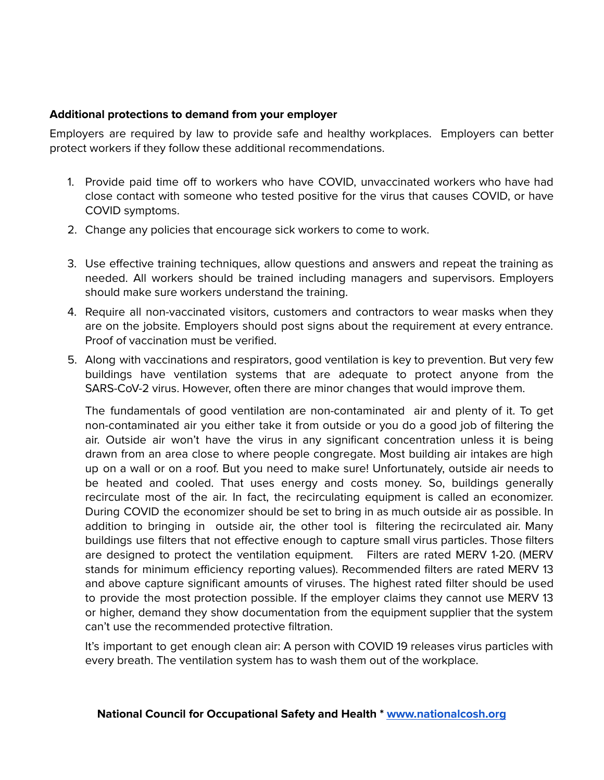### **Additional protections to demand from your employer**

Employers are required by law to provide safe and healthy workplaces. Employers can better protect workers if they follow these additional recommendations.

- 1. Provide paid time off to workers who have COVID, unvaccinated workers who have had close contact with someone who tested positive for the virus that causes COVID, or have COVID symptoms.
- 2. Change any policies that encourage sick workers to come to work.
- 3. Use effective training techniques, allow questions and answers and repeat the training as needed. All workers should be trained including managers and supervisors. Employers should make sure workers understand the training.
- 4. Require all non-vaccinated visitors, customers and contractors to wear masks when they are on the jobsite. Employers should post signs about the requirement at every entrance. Proof of vaccination must be verified.
- 5. Along with vaccinations and respirators, good ventilation is key to prevention. But very few buildings have ventilation systems that are adequate to protect anyone from the SARS-CoV-2 virus. However, often there are minor changes that would improve them.

The fundamentals of good ventilation are non-contaminated air and plenty of it. To get non-contaminated air you either take it from outside or you do a good job of filtering the air. Outside air won't have the virus in any significant concentration unless it is being drawn from an area close to where people congregate. Most building air intakes are high up on a wall or on a roof. But you need to make sure! Unfortunately, outside air needs to be heated and cooled. That uses energy and costs money. So, buildings generally recirculate most of the air. In fact, the recirculating equipment is called an economizer. During COVID the economizer should be set to bring in as much outside air as possible. In addition to bringing in outside air, the other tool is filtering the recirculated air. Many buildings use filters that not effective enough to capture small virus particles. Those filters are designed to protect the ventilation equipment. Filters are rated MERV 1-20. (MERV stands for minimum efficiency reporting values). Recommended filters are rated MERV 13 and above capture significant amounts of viruses. The highest rated filter should be used to provide the most protection possible. If the employer claims they cannot use MERV 13 or higher, demand they show documentation from the equipment supplier that the system can't use the recommended protective filtration.

It's important to get enough clean air: A person with COVID 19 releases virus particles with every breath. The ventilation system has to wash them out of the workplace.